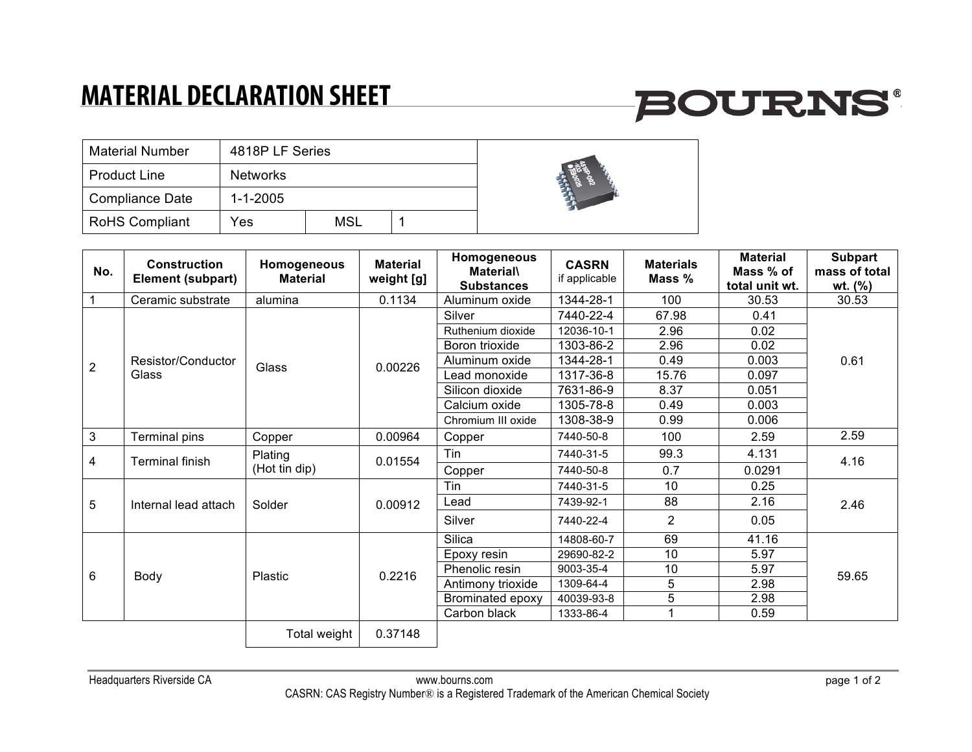### **MATERIAL DECLARATION SHEET**

# **BOURNS®**

| <b>Material Number</b> | 4818P LF Series |     |  |  |
|------------------------|-----------------|-----|--|--|
| <b>Product Line</b>    | <b>Networks</b> |     |  |  |
| <b>Compliance Date</b> | $1 - 1 - 2005$  |     |  |  |
| <b>RoHS Compliant</b>  | Yes             | MSL |  |  |